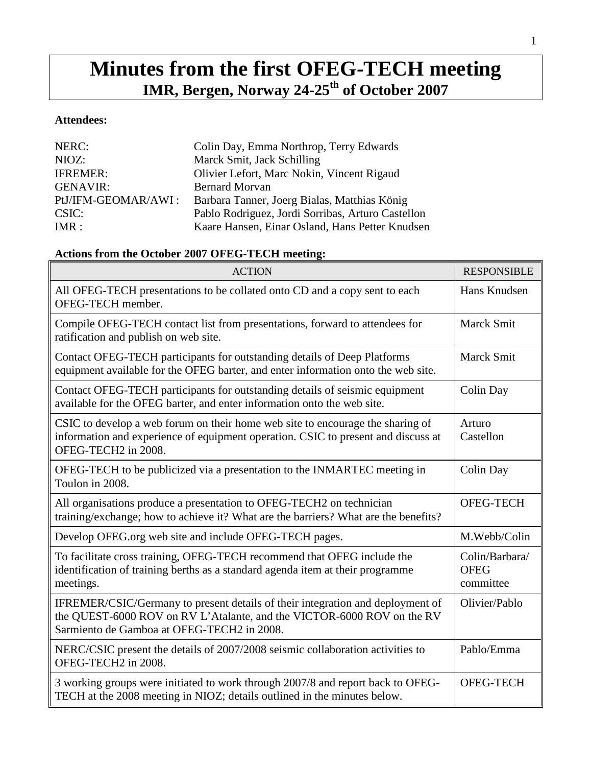# **Minutes from the first OFEG-TECH meeting IMR, Bergen, Norway 24-25th of October 2007**

## **Attendees:**

| NERC:                | Colin Day, Emma Northrop, Terry Edwards           |
|----------------------|---------------------------------------------------|
| NIOZ:                | Marck Smit, Jack Schilling                        |
| <b>IFREMER:</b>      | Olivier Lefort, Marc Nokin, Vincent Rigaud        |
| <b>GENAVIR:</b>      | <b>Bernard Morvan</b>                             |
| PtJ/IFM-GEOMAR/AWI : | Barbara Tanner, Joerg Bialas, Matthias König      |
| CSIC:                | Pablo Rodriguez, Jordi Sorribas, Arturo Castellon |
| IMR:                 | Kaare Hansen, Einar Osland, Hans Petter Knudsen   |

# **Actions from the October 2007 OFEG-TECH meeting:**

| <b>ACTION</b>                                                                                                                                                                                          | <b>RESPONSIBLE</b>                         |
|--------------------------------------------------------------------------------------------------------------------------------------------------------------------------------------------------------|--------------------------------------------|
| All OFEG-TECH presentations to be collated onto CD and a copy sent to each<br>OFEG-TECH member.                                                                                                        | Hans Knudsen                               |
| Compile OFEG-TECH contact list from presentations, forward to attendees for<br>ratification and publish on web site.                                                                                   | Marck Smit                                 |
| Contact OFEG-TECH participants for outstanding details of Deep Platforms<br>equipment available for the OFEG barter, and enter information onto the web site.                                          | <b>Marck Smit</b>                          |
| Contact OFEG-TECH participants for outstanding details of seismic equipment<br>available for the OFEG barter, and enter information onto the web site.                                                 | Colin Day                                  |
| CSIC to develop a web forum on their home web site to encourage the sharing of<br>information and experience of equipment operation. CSIC to present and discuss at<br>OFEG-TECH2 in 2008.             | Arturo<br>Castellon                        |
| OFEG-TECH to be publicized via a presentation to the INMARTEC meeting in<br>Toulon in 2008.                                                                                                            | Colin Day                                  |
| All organisations produce a presentation to OFEG-TECH2 on technician<br>training/exchange; how to achieve it? What are the barriers? What are the benefits?                                            | OFEG-TECH                                  |
| Develop OFEG.org web site and include OFEG-TECH pages.                                                                                                                                                 | M.Webb/Colin                               |
| To facilitate cross training, OFEG-TECH recommend that OFEG include the<br>identification of training berths as a standard agenda item at their programme<br>meetings.                                 | Colin/Barbara/<br><b>OFEG</b><br>committee |
| IFREMER/CSIC/Germany to present details of their integration and deployment of<br>the QUEST-6000 ROV on RV L'Atalante, and the VICTOR-6000 ROV on the RV<br>Sarmiento de Gamboa at OFEG-TECH2 in 2008. | Olivier/Pablo                              |
| NERC/CSIC present the details of 2007/2008 seismic collaboration activities to<br>OFEG-TECH2 in 2008.                                                                                                  | Pablo/Emma                                 |
| 3 working groups were initiated to work through 2007/8 and report back to OFEG-<br>TECH at the 2008 meeting in NIOZ; details outlined in the minutes below.                                            | OFEG-TECH                                  |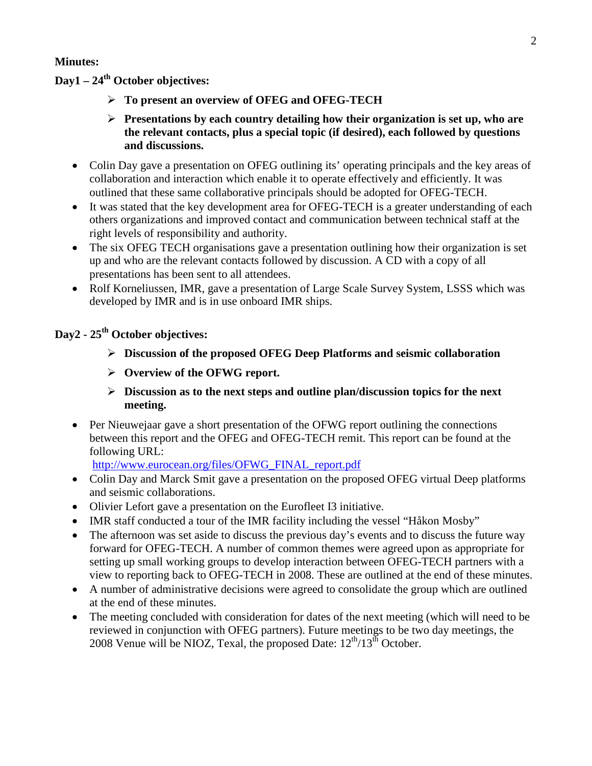## **Minutes:**

**Day1 – 24th October objectives:** 

- **To present an overview of OFEG and OFEG-TECH**
- **Presentations by each country detailing how their organization is set up, who are the relevant contacts, plus a special topic (if desired), each followed by questions and discussions.**
- Colin Day gave a presentation on OFEG outlining its' operating principals and the key areas of collaboration and interaction which enable it to operate effectively and efficiently. It was outlined that these same collaborative principals should be adopted for OFEG-TECH.
- It was stated that the key development area for OFEG-TECH is a greater understanding of each others organizations and improved contact and communication between technical staff at the right levels of responsibility and authority.
- The six OFEG TECH organisations gave a presentation outlining how their organization is set up and who are the relevant contacts followed by discussion. A CD with a copy of all presentations has been sent to all attendees.
- Rolf Korneliussen, IMR, gave a presentation of Large Scale Survey System, LSSS which was developed by IMR and is in use onboard IMR ships.

# **Day2 - 25th October objectives:**

- **Discussion of the proposed OFEG Deep Platforms and seismic collaboration**
- **Overview of the OFWG report.**
- $\triangleright$  Discussion as to the next steps and outline plan/discussion topics for the next **meeting.**
- Per Nieuwejaar gave a short presentation of the OFWG report outlining the connections between this report and the OFEG and OFEG-TECH remit. This report can be found at the following URL:

[http://www.eurocean.org/files/OFWG\\_FINAL\\_report.pdf](http://www.eurocean.org/files/OFWG_FINAL_report.pdf)

- Colin Day and Marck Smit gave a presentation on the proposed OFEG virtual Deep platforms and seismic collaborations.
- Olivier Lefort gave a presentation on the Eurofleet I3 initiative.
- IMR staff conducted a tour of the IMR facility including the vessel "Håkon Mosby"
- The afternoon was set aside to discuss the previous day's events and to discuss the future way forward for OFEG-TECH. A number of common themes were agreed upon as appropriate for setting up small working groups to develop interaction between OFEG-TECH partners with a view to reporting back to OFEG-TECH in 2008. These are outlined at the end of these minutes.
- A number of administrative decisions were agreed to consolidate the group which are outlined at the end of these minutes.
- The meeting concluded with consideration for dates of the next meeting (which will need to be reviewed in conjunction with OFEG partners). Future meetings to be two day meetings, the 2008 Venue will be NIOZ, Texal, the proposed Date:  $12^{th}/13^{th}$  October.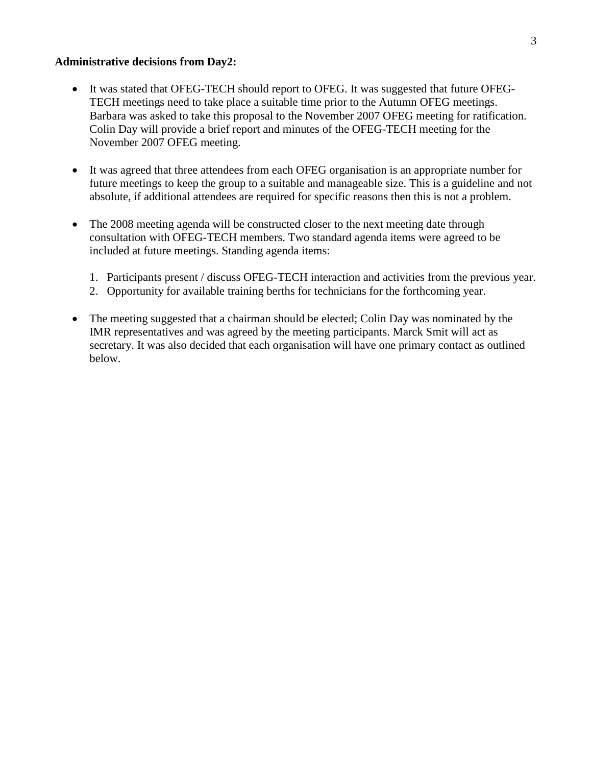### **Administrative decisions from Day2:**

- It was stated that OFEG-TECH should report to OFEG. It was suggested that future OFEG-TECH meetings need to take place a suitable time prior to the Autumn OFEG meetings. Barbara was asked to take this proposal to the November 2007 OFEG meeting for ratification. Colin Day will provide a brief report and minutes of the OFEG-TECH meeting for the November 2007 OFEG meeting.
- It was agreed that three attendees from each OFEG organisation is an appropriate number for future meetings to keep the group to a suitable and manageable size. This is a guideline and not absolute, if additional attendees are required for specific reasons then this is not a problem.
- The 2008 meeting agenda will be constructed closer to the next meeting date through consultation with OFEG-TECH members. Two standard agenda items were agreed to be included at future meetings. Standing agenda items:
	- 1. Participants present / discuss OFEG-TECH interaction and activities from the previous year.
	- 2. Opportunity for available training berths for technicians for the forthcoming year.
- The meeting suggested that a chairman should be elected; Colin Day was nominated by the IMR representatives and was agreed by the meeting participants. Marck Smit will act as secretary. It was also decided that each organisation will have one primary contact as outlined below.